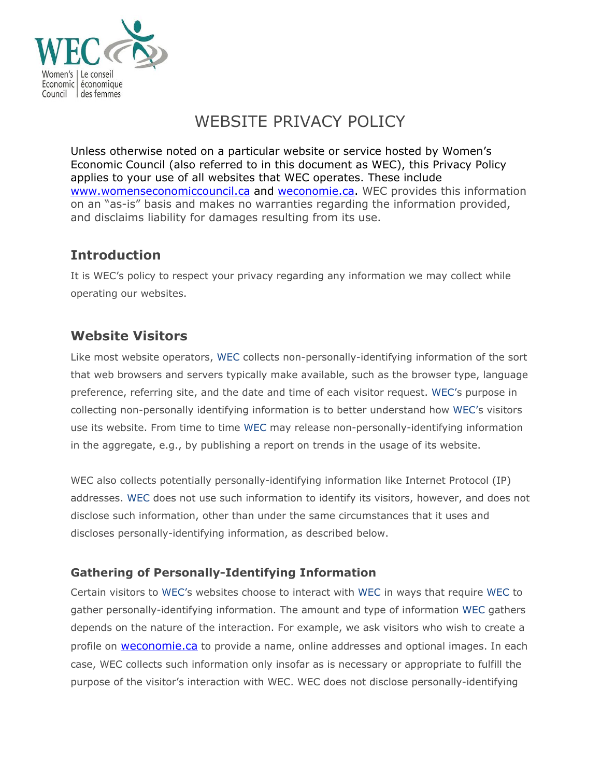

# WEBSITE PRIVACY POLICY

Unless otherwise noted on a particular website or service hosted by Women's Economic Council (also referred to in this document as WEC), this Privacy Policy applies to your use of all websites that WEC operates. These include [www.womenseconomiccouncil.ca](http://www.womenseconomiccouncil.ca/) and [weconomie.ca.](http://weconomie.ca/) WEC provides this information on an "as-is" basis and makes no warranties regarding the information provided, and disclaims liability for damages resulting from its use.

### **Introduction**

It is WEC's policy to respect your privacy regarding any information we may collect while operating our websites.

## **Website Visitors**

Like most website operators, WEC collects non-personally-identifying information of the sort that web browsers and servers typically make available, such as the browser type, language preference, referring site, and the date and time of each visitor request. WEC's purpose in collecting non-personally identifying information is to better understand how WEC's visitors use its website. From time to time WEC may release non-personally-identifying information in the aggregate, e.g., by publishing a report on trends in the usage of its website.

WEC also collects potentially personally-identifying information like Internet Protocol (IP) addresses. WEC does not use such information to identify its visitors, however, and does not disclose such information, other than under the same circumstances that it uses and discloses personally-identifying information, as described below.

### **Gathering of Personally-Identifying Information**

Certain visitors to WEC's websites choose to interact with WEC in ways that require WEC to gather personally-identifying information. The amount and type of information WEC gathers depends on the nature of the interaction. For example, we ask visitors who wish to create a profile on **[weconomie.ca](http://weconomie.ca/)** to provide a name, online addresses and optional images. In each case, WEC collects such information only insofar as is necessary or appropriate to fulfill the purpose of the visitor's interaction with WEC. WEC does not disclose personally-identifying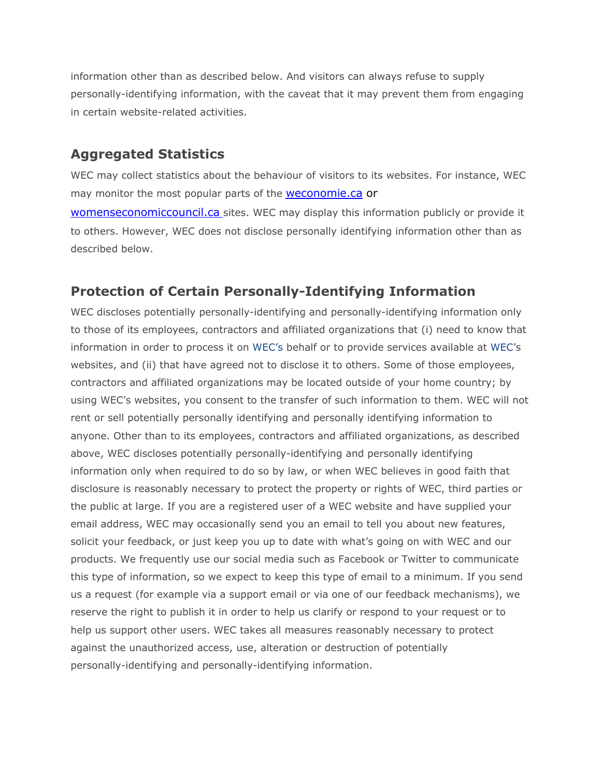information other than as described below. And visitors can always refuse to supply personally-identifying information, with the caveat that it may prevent them from engaging in certain website-related activities.

#### **Aggregated Statistics**

WEC may collect statistics about the behaviour of visitors to its websites. For instance, WEC may monitor the most popular parts of the **[weconomie.ca](http://weconomie.ca/)** or

[womenseconomiccouncil.ca](http://womenseconomiccouncil.ca/) sites. WEC may display this information publicly or provide it to others. However, WEC does not disclose personally identifying information other than as described below.

#### **Protection of Certain Personally-Identifying Information**

WEC discloses potentially personally-identifying and personally-identifying information only to those of its employees, contractors and affiliated organizations that (i) need to know that information in order to process it on WEC's behalf or to provide services available at WEC's websites, and (ii) that have agreed not to disclose it to others. Some of those employees, contractors and affiliated organizations may be located outside of your home country; by using WEC's websites, you consent to the transfer of such information to them. WEC will not rent or sell potentially personally identifying and personally identifying information to anyone. Other than to its employees, contractors and affiliated organizations, as described above, WEC discloses potentially personally-identifying and personally identifying information only when required to do so by law, or when WEC believes in good faith that disclosure is reasonably necessary to protect the property or rights of WEC, third parties or the public at large. If you are a registered user of a WEC website and have supplied your email address, WEC may occasionally send you an email to tell you about new features, solicit your feedback, or just keep you up to date with what's going on with WEC and our products. We frequently use our social media such as Facebook or Twitter to communicate this type of information, so we expect to keep this type of email to a minimum. If you send us a request (for example via a support email or via one of our feedback mechanisms), we reserve the right to publish it in order to help us clarify or respond to your request or to help us support other users. WEC takes all measures reasonably necessary to protect against the unauthorized access, use, alteration or destruction of potentially personally-identifying and personally-identifying information.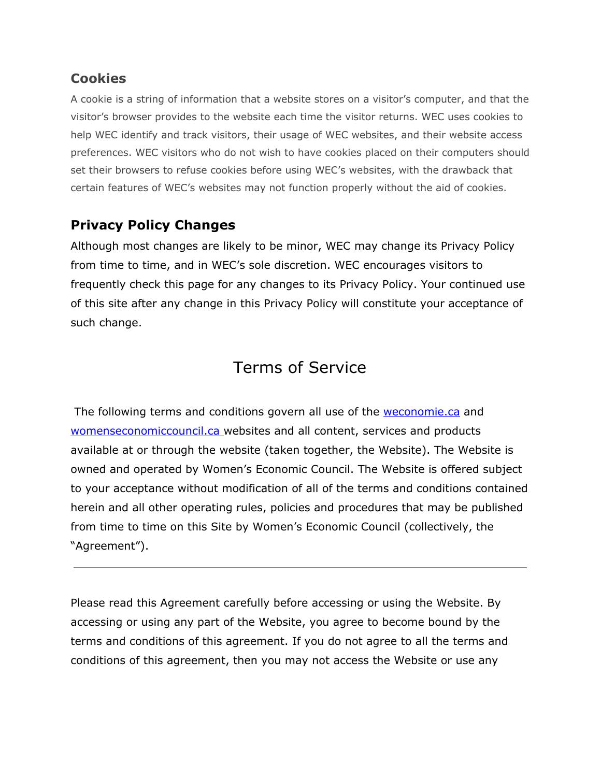### **Cookies**

A cookie is a string of information that a website stores on a visitor's computer, and that the visitor's browser provides to the website each time the visitor returns. WEC uses cookies to help WEC identify and track visitors, their usage of WEC websites, and their website access preferences. WEC visitors who do not wish to have cookies placed on their computers should set their browsers to refuse cookies before using WEC's websites, with the drawback that certain features of WEC's websites may not function properly without the aid of cookies.

### **Privacy Policy Changes**

Although most changes are likely to be minor, WEC may change its Privacy Policy from time to time, and in WEC's sole discretion. WEC encourages visitors to frequently check this page for any changes to its Privacy Policy. Your continued use of this site after any change in this Privacy Policy will constitute your acceptance of such change.

# Terms of Service

The following terms and conditions govern all use of the [weconomie.ca](http://weconomie.ca/) and [womenseconomiccouncil.ca](http://womenseconomiccouncil.ca/) websites and all content, services and products available at or through the website (taken together, the Website). The Website is owned and operated by Women's Economic Council. The Website is offered subject to your acceptance without modification of all of the terms and conditions contained herein and all other operating rules, policies and procedures that may be published from time to time on this Site by Women's Economic Council (collectively, the "Agreement").

Please read this Agreement carefully before accessing or using the Website. By accessing or using any part of the Website, you agree to become bound by the terms and conditions of this agreement. If you do not agree to all the terms and conditions of this agreement, then you may not access the Website or use any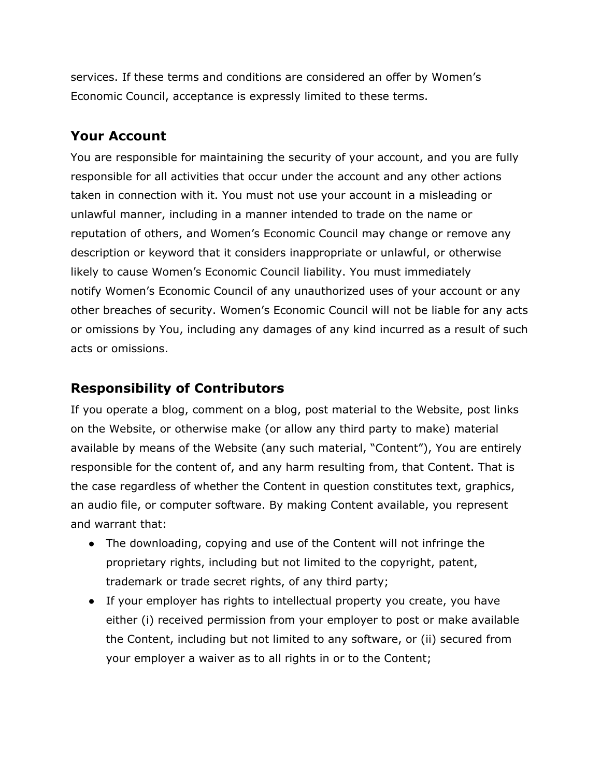services. If these terms and conditions are considered an offer by Women's Economic Council, acceptance is expressly limited to these terms.

### **Your Account**

You are responsible for maintaining the security of your account, and you are fully responsible for all activities that occur under the account and any other actions taken in connection with it. You must not use your account in a misleading or unlawful manner, including in a manner intended to trade on the name or reputation of others, and Women's Economic Council may change or remove any description or keyword that it considers inappropriate or unlawful, or otherwise likely to cause Women's Economic Council liability. You must immediately notify Women's Economic Council of any unauthorized uses of your account or any other breaches of security. Women's Economic Council will not be liable for any acts or omissions by You, including any damages of any kind incurred as a result of such acts or omissions.

## **Responsibility of Contributors**

If you operate a blog, comment on a blog, post material to the Website, post links on the Website, or otherwise make (or allow any third party to make) material available by means of the Website (any such material, "Content"), You are entirely responsible for the content of, and any harm resulting from, that Content. That is the case regardless of whether the Content in question constitutes text, graphics, an audio file, or computer software. By making Content available, you represent and warrant that:

- The downloading, copying and use of the Content will not infringe the proprietary rights, including but not limited to the copyright, patent, trademark or trade secret rights, of any third party;
- If your employer has rights to intellectual property you create, you have either (i) received permission from your employer to post or make available the Content, including but not limited to any software, or (ii) secured from your employer a waiver as to all rights in or to the Content;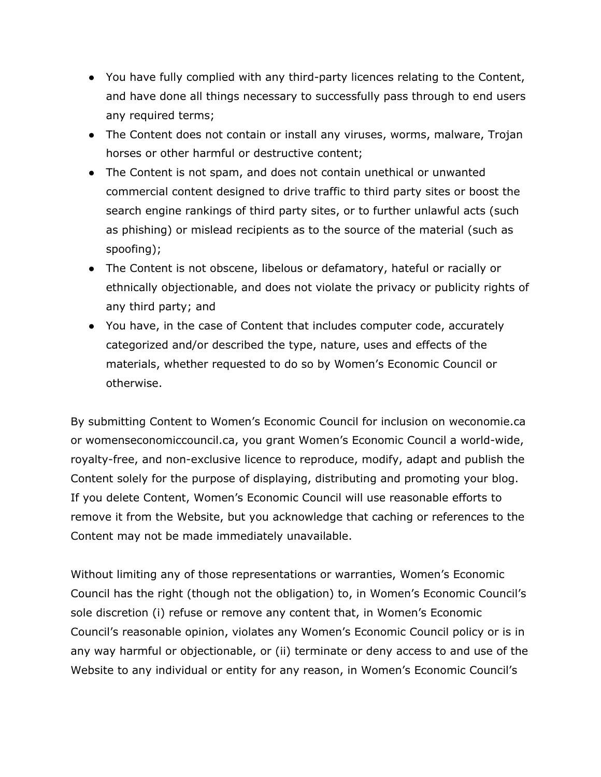- You have fully complied with any third-party licences relating to the Content, and have done all things necessary to successfully pass through to end users any required terms;
- The Content does not contain or install any viruses, worms, malware, Trojan horses or other harmful or destructive content;
- The Content is not spam, and does not contain unethical or unwanted commercial content designed to drive traffic to third party sites or boost the search engine rankings of third party sites, or to further unlawful acts (such as phishing) or mislead recipients as to the source of the material (such as spoofing);
- The Content is not obscene, libelous or defamatory, hateful or racially or ethnically objectionable, and does not violate the privacy or publicity rights of any third party; and
- You have, in the case of Content that includes computer code, accurately categorized and/or described the type, nature, uses and effects of the materials, whether requested to do so by Women's Economic Council or otherwise.

By submitting Content to Women's Economic Council for inclusion on weconomie.ca or womenseconomiccouncil.ca, you grant Women's Economic Council a world-wide, royalty-free, and non-exclusive licence to reproduce, modify, adapt and publish the Content solely for the purpose of displaying, distributing and promoting your blog. If you delete Content, Women's Economic Council will use reasonable efforts to remove it from the Website, but you acknowledge that caching or references to the Content may not be made immediately unavailable.

Without limiting any of those representations or warranties, Women's Economic Council has the right (though not the obligation) to, in Women's Economic Council's sole discretion (i) refuse or remove any content that, in Women's Economic Council's reasonable opinion, violates any Women's Economic Council policy or is in any way harmful or objectionable, or (ii) terminate or deny access to and use of the Website to any individual or entity for any reason, in Women's Economic Council's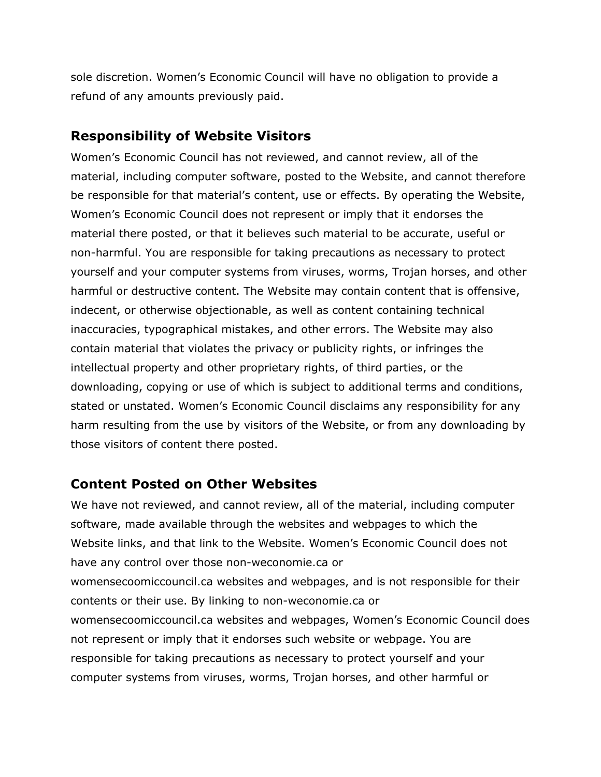sole discretion. Women's Economic Council will have no obligation to provide a refund of any amounts previously paid.

#### **Responsibility of Website Visitors**

Women's Economic Council has not reviewed, and cannot review, all of the material, including computer software, posted to the Website, and cannot therefore be responsible for that material's content, use or effects. By operating the Website, Women's Economic Council does not represent or imply that it endorses the material there posted, or that it believes such material to be accurate, useful or non-harmful. You are responsible for taking precautions as necessary to protect yourself and your computer systems from viruses, worms, Trojan horses, and other harmful or destructive content. The Website may contain content that is offensive, indecent, or otherwise objectionable, as well as content containing technical inaccuracies, typographical mistakes, and other errors. The Website may also contain material that violates the privacy or publicity rights, or infringes the intellectual property and other proprietary rights, of third parties, or the downloading, copying or use of which is subject to additional terms and conditions, stated or unstated. Women's Economic Council disclaims any responsibility for any harm resulting from the use by visitors of the Website, or from any downloading by those visitors of content there posted.

### **Content Posted on Other Websites**

We have not reviewed, and cannot review, all of the material, including computer software, made available through the websites and webpages to which the Website links, and that link to the Website. Women's Economic Council does not have any control over those non-weconomie.ca or womensecoomiccouncil.ca websites and webpages, and is not responsible for their contents or their use. By linking to non-weconomie.ca or womensecoomiccouncil.ca websites and webpages, Women's Economic Council does not represent or imply that it endorses such website or webpage. You are responsible for taking precautions as necessary to protect yourself and your computer systems from viruses, worms, Trojan horses, and other harmful or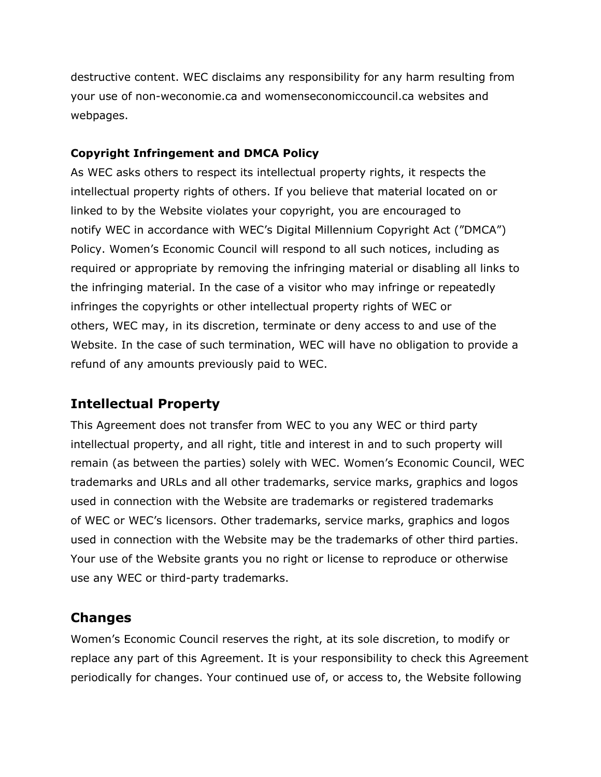destructive content. WEC disclaims any responsibility for any harm resulting from your use of non-weconomie.ca and womenseconomiccouncil.ca websites and webpages.

#### **Copyright Infringement and DMCA Policy**

As WEC asks others to respect its intellectual property rights, it respects the intellectual property rights of others. If you believe that material located on or linked to by the Website violates your copyright, you are encouraged to notify WEC in accordance with WEC's Digital Millennium Copyright Act ("DMCA") Policy. Women's Economic Council will respond to all such notices, including as required or appropriate by removing the infringing material or disabling all links to the infringing material. In the case of a visitor who may infringe or repeatedly infringes the copyrights or other intellectual property rights of WEC or others, WEC may, in its discretion, terminate or deny access to and use of the Website. In the case of such termination, WEC will have no obligation to provide a refund of any amounts previously paid to WEC.

### **Intellectual Property**

This Agreement does not transfer from WEC to you any WEC or third party intellectual property, and all right, title and interest in and to such property will remain (as between the parties) solely with WEC. Women's Economic Council, WEC trademarks and URLs and all other trademarks, service marks, graphics and logos used in connection with the Website are trademarks or registered trademarks of WEC or WEC's licensors. Other trademarks, service marks, graphics and logos used in connection with the Website may be the trademarks of other third parties. Your use of the Website grants you no right or license to reproduce or otherwise use any WEC or third-party trademarks.

### **Changes**

Women's Economic Council reserves the right, at its sole discretion, to modify or replace any part of this Agreement. It is your responsibility to check this Agreement periodically for changes. Your continued use of, or access to, the Website following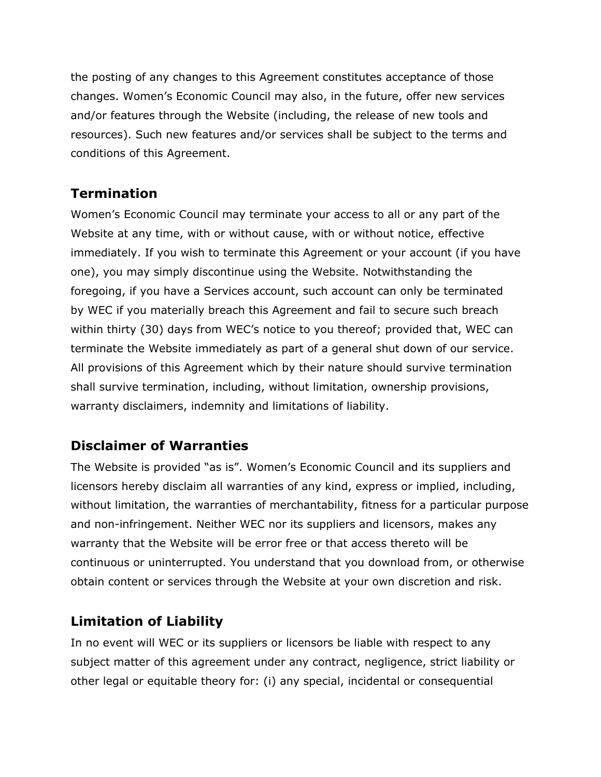the posting of any changes to this Agreement constitutes acceptance of those changes. Women's Economic Council may also, in the future, offer new services and/or features through the Website (including, the release of new tools and resources). Such new features and/or services shall be subject to the terms and conditions of this Agreement.

## **Termination**

Women's Economic Council may terminate your access to all or any part of the Website at any time, with or without cause, with or without notice, effective immediately. If you wish to terminate this Agreement or your account (if you have one), you may simply discontinue using the Website. Notwithstanding the foregoing, if you have a Services account, such account can only be terminated by WEC if you materially breach this Agreement and fail to secure such breach within thirty (30) days from WEC's notice to you thereof; provided that, WEC can terminate the Website immediately as part of a general shut down of our service. All provisions of this Agreement which by their nature should survive termination shall survive termination, including, without limitation, ownership provisions, warranty disclaimers, indemnity and limitations of liability.

## **Disclaimer of Warranties**

The Website is provided "as is". Women's Economic Council and its suppliers and licensors hereby disclaim all warranties of any kind, express or implied, including, without limitation, the warranties of merchantability, fitness for a particular purpose and non-infringement. Neither WEC nor its suppliers and licensors, makes any warranty that the Website will be error free or that access thereto will be continuous or uninterrupted. You understand that you download from, or otherwise obtain content or services through the Website at your own discretion and risk.

## **Limitation of Liability**

In no event will WEC or its suppliers or licensors be liable with respect to any subject matter of this agreement under any contract, negligence, strict liability or other legal or equitable theory for: (i) any special, incidental or consequential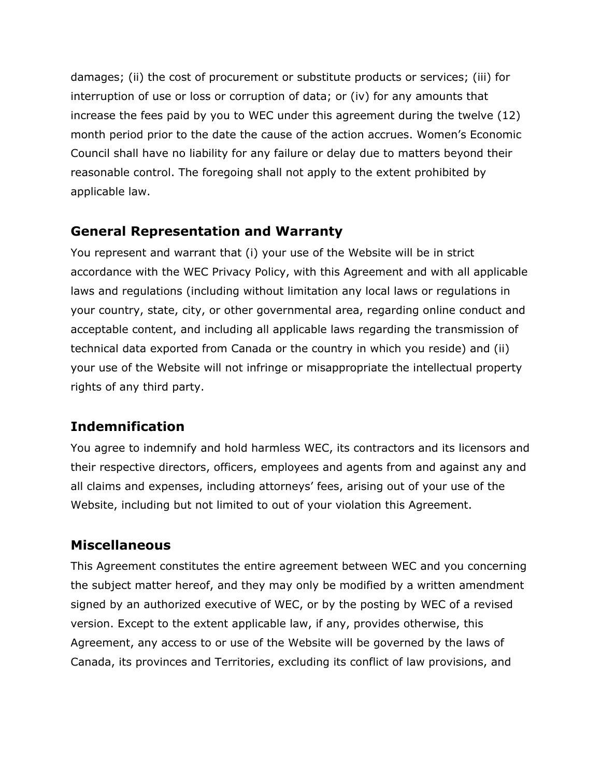damages; (ii) the cost of procurement or substitute products or services; (iii) for interruption of use or loss or corruption of data; or (iv) for any amounts that increase the fees paid by you to WEC under this agreement during the twelve (12) month period prior to the date the cause of the action accrues. Women's Economic Council shall have no liability for any failure or delay due to matters beyond their reasonable control. The foregoing shall not apply to the extent prohibited by applicable law.

#### **General Representation and Warranty**

You represent and warrant that (i) your use of the Website will be in strict accordance with the WEC Privacy Policy, with this Agreement and with all applicable laws and regulations (including without limitation any local laws or regulations in your country, state, city, or other governmental area, regarding online conduct and acceptable content, and including all applicable laws regarding the transmission of technical data exported from Canada or the country in which you reside) and (ii) your use of the Website will not infringe or misappropriate the intellectual property rights of any third party.

## **Indemnification**

You agree to indemnify and hold harmless WEC, its contractors and its licensors and their respective directors, officers, employees and agents from and against any and all claims and expenses, including attorneys' fees, arising out of your use of the Website, including but not limited to out of your violation this Agreement.

### **Miscellaneous**

This Agreement constitutes the entire agreement between WEC and you concerning the subject matter hereof, and they may only be modified by a written amendment signed by an authorized executive of WEC, or by the posting by WEC of a revised version. Except to the extent applicable law, if any, provides otherwise, this Agreement, any access to or use of the Website will be governed by the laws of Canada, its provinces and Territories, excluding its conflict of law provisions, and